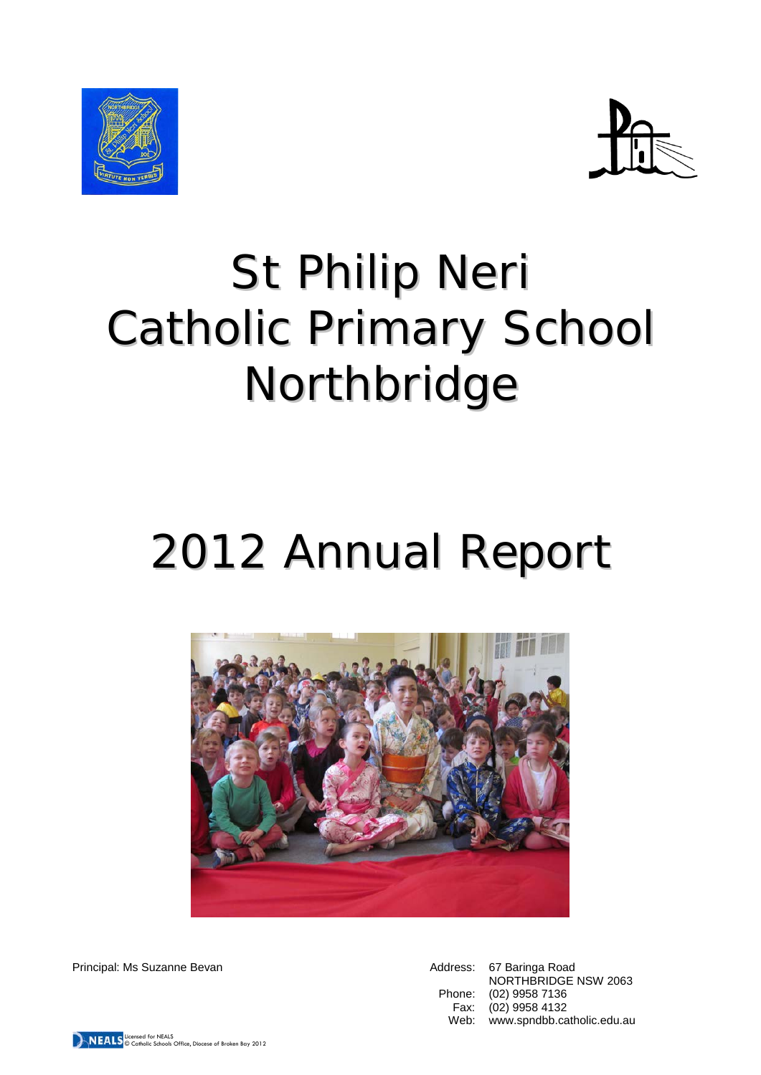



# St Philip Neri Catholic Primary School Northbridge

# 2012 Annual Report



Principal: Ms Suzanne Bevan Address: 67 Baringa Road

NORTHBRIDGE NSW 2063 Phone: (02) 9958 7136 Fax: (02) 9958 4132 Web: www.spndbb.catholic.edu.au

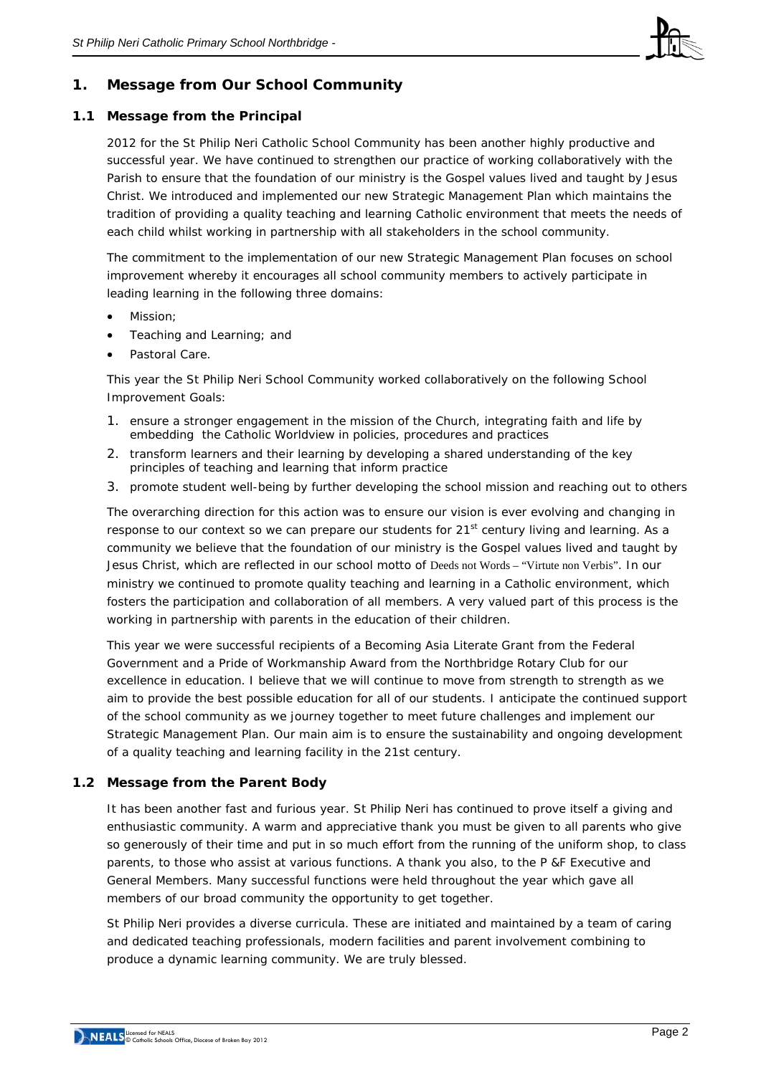

# **1. Message from Our School Community**

# **1.1 Message from the Principal**

2012 for the St Philip Neri Catholic School Community has been another highly productive and successful year. We have continued to strengthen our practice of working collaboratively with the Parish to ensure that the foundation of our ministry is the Gospel values lived and taught by Jesus Christ. We introduced and implemented our new Strategic Management Plan which maintains the tradition of providing a quality teaching and learning Catholic environment that meets the needs of each child whilst working in partnership with all stakeholders in the school community.

The commitment to the implementation of our new Strategic Management Plan focuses on school improvement whereby it encourages all school community members to actively participate in leading learning in the following three domains:

- Mission;
- Teaching and Learning; and
- Pastoral Care.

This year the St Philip Neri School Community worked collaboratively on the following School Improvement Goals:

- 1. ensure a stronger engagement in the mission of the Church, integrating faith and life by embedding the Catholic Worldview in policies, procedures and practices
- 2. transform learners and their learning by developing a shared understanding of the key principles of teaching and learning that inform practice
- 3. promote student well-being by further developing the school mission and reaching out to others

The overarching direction for this action was to ensure our vision is ever evolving and changing in response to our context so we can prepare our students for 21<sup>st</sup> century living and learning. As a community we believe that the foundation of our ministry is the Gospel values lived and taught by Jesus Christ, which are reflected in our school motto of Deeds not Words – "Virtute non Verbis". In our ministry we continued to promote quality teaching and learning in a Catholic environment, which fosters the participation and collaboration of all members. A very valued part of this process is the working in partnership with parents in the education of their children.

This year we were successful recipients of a Becoming Asia Literate Grant from the Federal Government and a Pride of Workmanship Award from the Northbridge Rotary Club for our excellence in education. I believe that we will continue to move from strength to strength as we aim to provide the best possible education for all of our students. I anticipate the continued support of the school community as we journey together to meet future challenges and implement our Strategic Management Plan. Our main aim is to ensure the sustainability and ongoing development of a quality teaching and learning facility in the 21st century.

# **1.2 Message from the Parent Body**

It has been another fast and furious year. St Philip Neri has continued to prove itself a giving and enthusiastic community. A warm and appreciative thank you must be given to all parents who give so generously of their time and put in so much effort from the running of the uniform shop, to class parents, to those who assist at various functions. A thank you also, to the P &F Executive and General Members. Many successful functions were held throughout the year which gave all members of our broad community the opportunity to get together.

St Philip Neri provides a diverse curricula. These are initiated and maintained by a team of caring and dedicated teaching professionals, modern facilities and parent involvement combining to produce a dynamic learning community. We are truly blessed.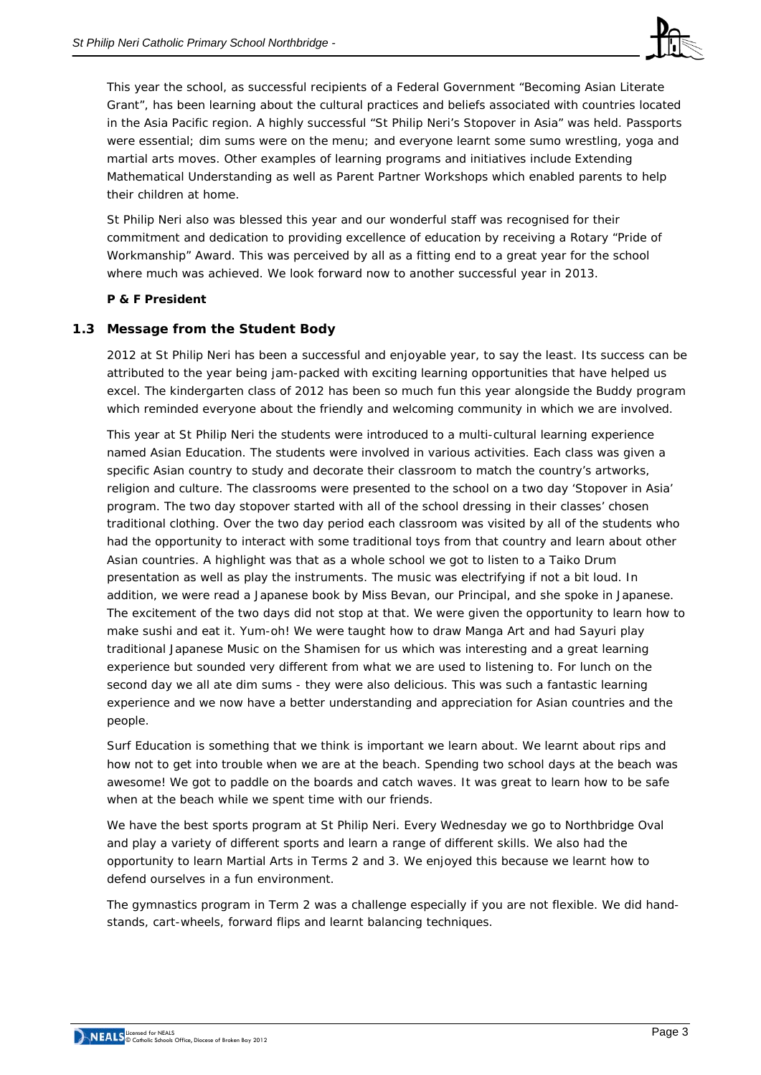

This year the school, as successful recipients of a Federal Government "Becoming Asian Literate Grant", has been learning about the cultural practices and beliefs associated with countries located in the Asia Pacific region. A highly successful "St Philip Neri's Stopover in Asia" was held. Passports were essential; dim sums were on the menu; and everyone learnt some sumo wrestling, yoga and martial arts moves. Other examples of learning programs and initiatives include Extending Mathematical Understanding as well as Parent Partner Workshops which enabled parents to help their children at home.

St Philip Neri also was blessed this year and our wonderful staff was recognised for their commitment and dedication to providing excellence of education by receiving a Rotary "Pride of Workmanship" Award. This was perceived by all as a fitting end to a great year for the school where much was achieved. We look forward now to another successful year in 2013.

## *P & F President*

## **1.3 Message from the Student Body**

2012 at St Philip Neri has been a successful and enjoyable year, to say the least. Its success can be attributed to the year being jam-packed with exciting learning opportunities that have helped us excel. The kindergarten class of 2012 has been so much fun this year alongside the Buddy program which reminded everyone about the friendly and welcoming community in which we are involved.

This year at St Philip Neri the students were introduced to a multi-cultural learning experience named Asian Education. The students were involved in various activities. Each class was given a specific Asian country to study and decorate their classroom to match the country's artworks, religion and culture. The classrooms were presented to the school on a two day 'Stopover in Asia' program. The two day stopover started with all of the school dressing in their classes' chosen traditional clothing. Over the two day period each classroom was visited by all of the students who had the opportunity to interact with some traditional toys from that country and learn about other Asian countries. A highlight was that as a whole school we got to listen to a Taiko Drum presentation as well as play the instruments. The music was electrifying if not a bit loud. In addition, we were read a Japanese book by Miss Bevan, our Principal, and she spoke in Japanese. The excitement of the two days did not stop at that. We were given the opportunity to learn how to make sushi and eat it. Yum-oh! We were taught how to draw Manga Art and had Sayuri play traditional Japanese Music on the Shamisen for us which was interesting and a great learning experience but sounded very different from what we are used to listening to. For lunch on the second day we all ate dim sums - they were also delicious. This was such a fantastic learning experience and we now have a better understanding and appreciation for Asian countries and the people.

Surf Education is something that we think is important we learn about. We learnt about rips and how not to get into trouble when we are at the beach. Spending two school days at the beach was awesome! We got to paddle on the boards and catch waves. It was great to learn how to be safe when at the beach while we spent time with our friends.

We have the best sports program at St Philip Neri. Every Wednesday we go to Northbridge Oval and play a variety of different sports and learn a range of different skills. We also had the opportunity to learn Martial Arts in Terms 2 and 3. We enjoyed this because we learnt how to defend ourselves in a fun environment.

The gymnastics program in Term 2 was a challenge especially if you are not flexible. We did handstands, cart-wheels, forward flips and learnt balancing techniques.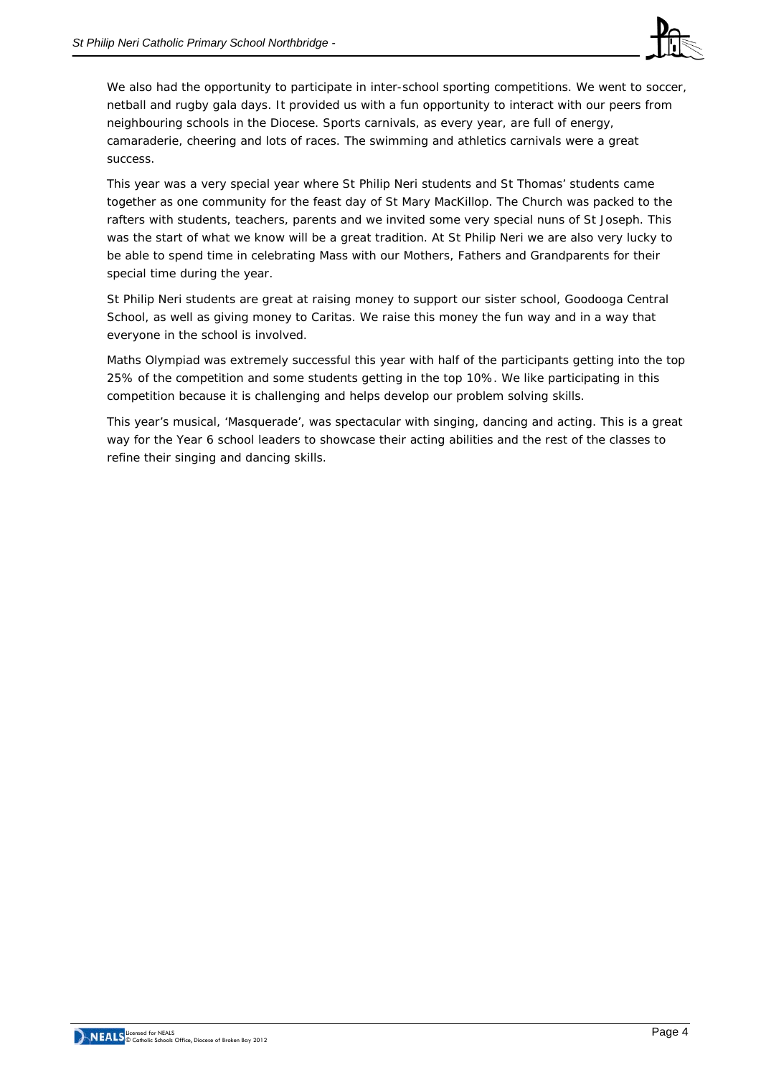

We also had the opportunity to participate in inter-school sporting competitions. We went to soccer, netball and rugby gala days. It provided us with a fun opportunity to interact with our peers from neighbouring schools in the Diocese. Sports carnivals, as every year, are full of energy, camaraderie, cheering and lots of races. The swimming and athletics carnivals were a great success.

This year was a very special year where St Philip Neri students and St Thomas' students came together as one community for the feast day of St Mary MacKillop. The Church was packed to the rafters with students, teachers, parents and we invited some very special nuns of St Joseph. This was the start of what we know will be a great tradition. At St Philip Neri we are also very lucky to be able to spend time in celebrating Mass with our Mothers, Fathers and Grandparents for their special time during the year.

St Philip Neri students are great at raising money to support our sister school, Goodooga Central School, as well as giving money to Caritas. We raise this money the fun way and in a way that everyone in the school is involved.

Maths Olympiad was extremely successful this year with half of the participants getting into the top 25% of the competition and some students getting in the top 10%. We like participating in this competition because it is challenging and helps develop our problem solving skills.

This year's musical, 'Masquerade', was spectacular with singing, dancing and acting. This is a great way for the Year 6 school leaders to showcase their acting abilities and the rest of the classes to refine their singing and dancing skills.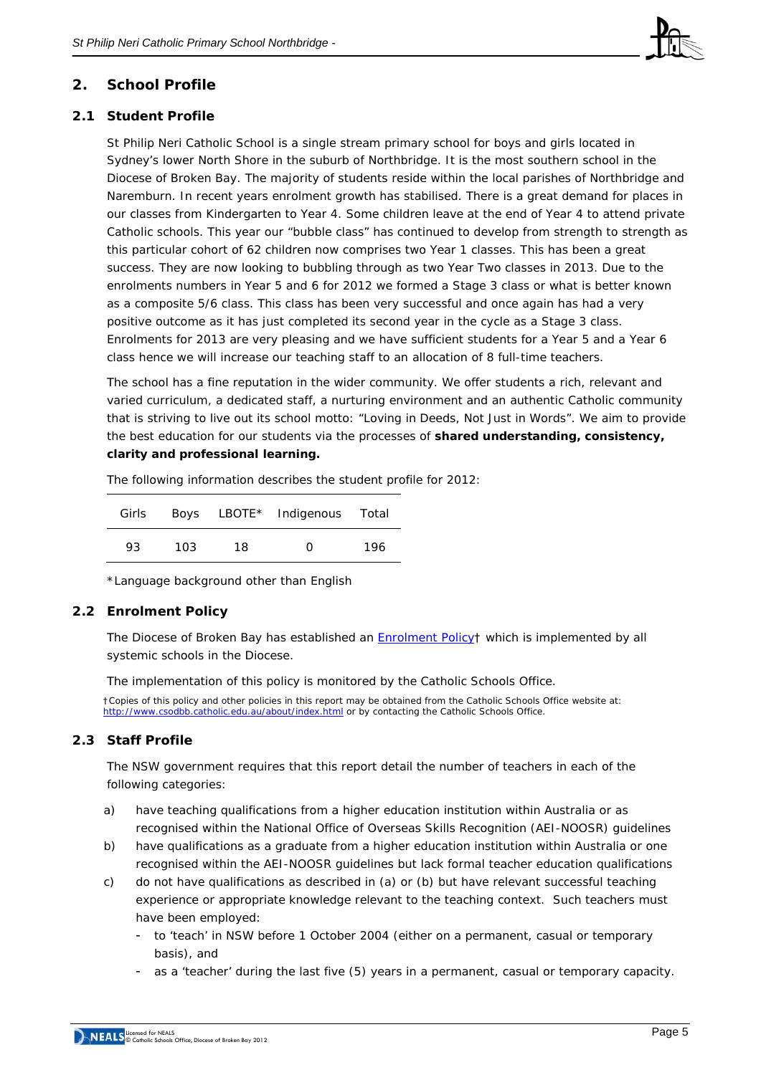

# **2. School Profile**

# **2.1 Student Profile**

St Philip Neri Catholic School is a single stream primary school for boys and girls located in Sydney's lower North Shore in the suburb of Northbridge. It is the most southern school in the Diocese of Broken Bay. The majority of students reside within the local parishes of Northbridge and Naremburn. In recent years enrolment growth has stabilised. There is a great demand for places in our classes from Kindergarten to Year 4. Some children leave at the end of Year 4 to attend private Catholic schools. This year our "bubble class" has continued to develop from strength to strength as this particular cohort of 62 children now comprises two Year 1 classes. This has been a great success. They are now looking to bubbling through as two Year Two classes in 2013. Due to the enrolments numbers in Year 5 and 6 for 2012 we formed a Stage 3 class or what is better known as a composite 5/6 class. This class has been very successful and once again has had a very positive outcome as it has just completed its second year in the cycle as a Stage 3 class. Enrolments for 2013 are very pleasing and we have sufficient students for a Year 5 and a Year 6 class hence we will increase our teaching staff to an allocation of 8 full-time teachers.

The school has a fine reputation in the wider community. We offer students a rich, relevant and varied curriculum, a dedicated staff, a nurturing environment and an authentic Catholic community that is striving to live out its school motto: "Loving in Deeds, Not Just in Words". We aim to provide the best education for our students via the processes of **shared understanding, consistency, clarity and professional learning.**

The following information describes the student profile for 2012:

| Girls |     |     | Boys LBOTE* Indigenous Total |     |
|-------|-----|-----|------------------------------|-----|
| 93.   | 103 | 18. | O                            | 196 |

\*Language background other than English

# **2.2 Enrolment Policy**

The Diocese of Broken Bay has established an **Enrolment Policyt** which is implemented by all systemic schools in the Diocese.

The implementation of this policy is monitored by the Catholic Schools Office.

†Copies of this policy and other policies in this report may be obtained from the Catholic Schools Office website at: <http://www.csodbb.catholic.edu.au/about/index.html> or by contacting the Catholic Schools Office.

# **2.3 Staff Profile**

The NSW government requires that this report detail the number of teachers in each of the following categories:

- a) have teaching qualifications from a higher education institution within Australia or as recognised within the National Office of Overseas Skills Recognition (AEI-NOOSR) guidelines
- b) have qualifications as a graduate from a higher education institution within Australia or one recognised within the AEI-NOOSR guidelines but lack formal teacher education qualifications
- c) do not have qualifications as described in (a) or (b) but have relevant successful teaching experience or appropriate knowledge relevant to the teaching context. Such teachers must have been employed:
	- to 'teach' in NSW before 1 October 2004 (either on a permanent, casual or temporary basis), and
	- as a 'teacher' during the last five (5) years in a permanent, casual or temporary capacity.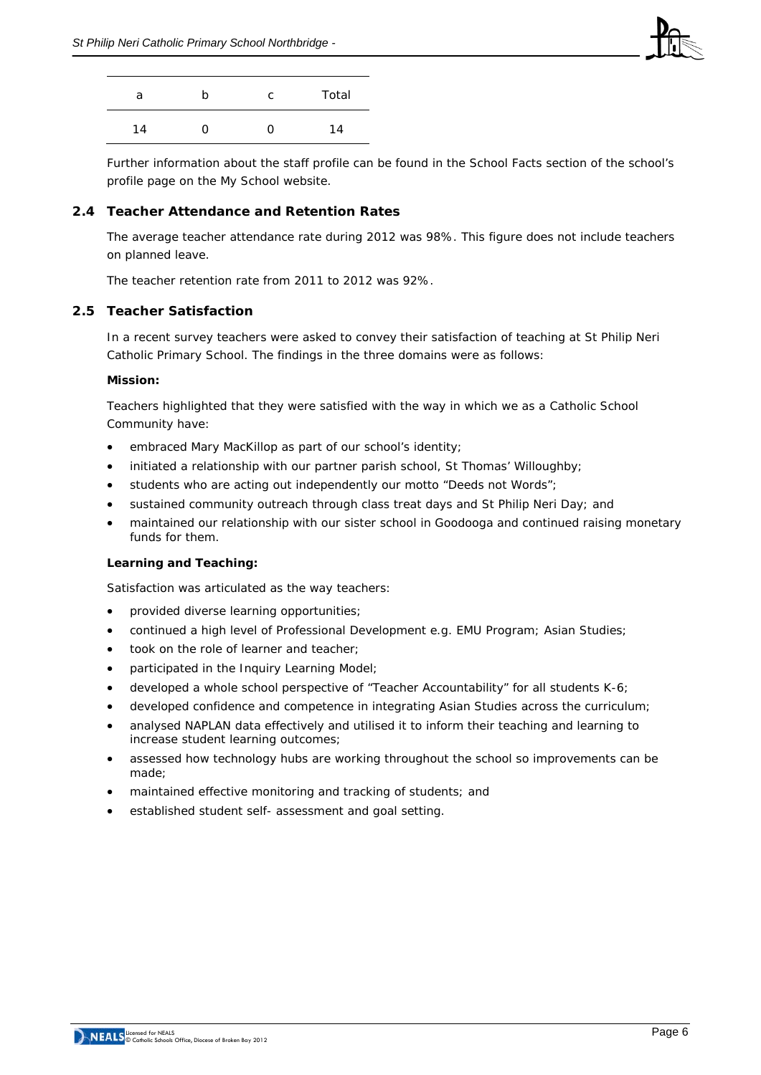

| a  | h | C. | Total |
|----|---|----|-------|
| 14 | 0 | 0  | 14    |

Further information about the staff profile can be found in the School Facts section of the school's profile page on the *My School* website.

# **2.4 Teacher Attendance and Retention Rates**

The average teacher attendance rate during 2012 was 98%. This figure does not include teachers on planned leave.

The teacher retention rate from 2011 to 2012 was 92%.

## **2.5 Teacher Satisfaction**

In a recent survey teachers were asked to convey their satisfaction of teaching at St Philip Neri Catholic Primary School. The findings in the three domains were as follows:

#### **Mission:**

Teachers highlighted that they were satisfied with the way in which we as a Catholic School Community have:

- embraced Mary MacKillop as part of our school's identity;
- initiated a relationship with our partner parish school, St Thomas' Willoughby;
- students who are acting out independently our motto "Deeds not Words";
- sustained community outreach through class treat days and St Philip Neri Day; and
- maintained our relationship with our sister school in Goodooga and continued raising monetary funds for them.

## **Learning and Teaching:**

Satisfaction was articulated as the way teachers:

- provided diverse learning opportunities;
- continued a high level of Professional Development e.g. EMU Program; Asian Studies;
- took on the role of learner and teacher;
- participated in the Inquiry Learning Model;
- developed a whole school perspective of "Teacher Accountability" for all students K-6;
- developed confidence and competence in integrating Asian Studies across the curriculum;
- analysed NAPLAN data effectively and utilised it to inform their teaching and learning to increase student learning outcomes;
- assessed how technology hubs are working throughout the school so improvements can be made;
- maintained effective monitoring and tracking of students; and
- established student self- assessment and goal setting.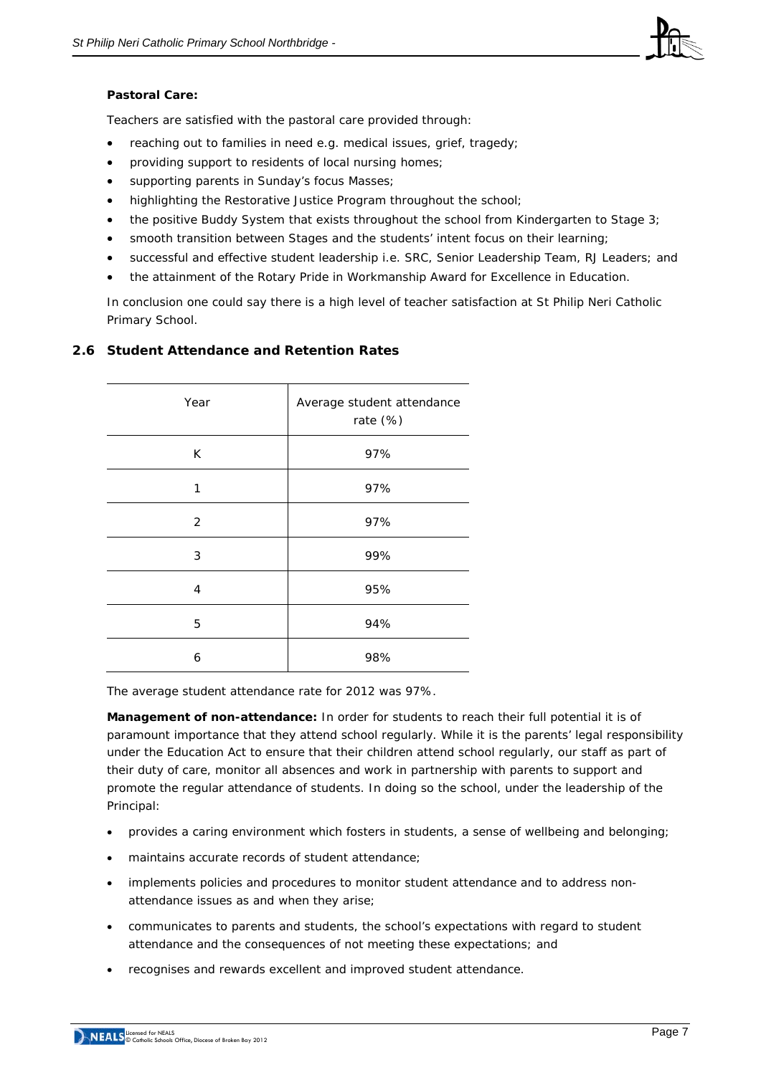

## **Pastoral Care:**

Teachers are satisfied with the pastoral care provided through:

- reaching out to families in need e.g. medical issues, grief, tragedy;
- providing support to residents of local nursing homes;
- supporting parents in Sunday's focus Masses;
- highlighting the Restorative Justice Program throughout the school;
- the positive Buddy System that exists throughout the school from Kindergarten to Stage 3;
- smooth transition between Stages and the students' intent focus on their learning;
- successful and effective student leadership i.e. SRC, Senior Leadership Team, RJ Leaders; and
- the attainment of the Rotary Pride in Workmanship Award for Excellence in Education.

In conclusion one could say there is a high level of teacher satisfaction at St Philip Neri Catholic Primary School.

# **2.6 Student Attendance and Retention Rates**

| Year | Average student attendance<br>rate (%) |  |  |
|------|----------------------------------------|--|--|
| K    | 97%                                    |  |  |
| 1    | 97%                                    |  |  |
| 2    | 97%                                    |  |  |
| 3    | 99%                                    |  |  |
| 4    | 95%                                    |  |  |
| 5    | 94%                                    |  |  |
| 6    | 98%                                    |  |  |

The average student attendance rate for 2012 was 97%.

**Management of non-attendance:** In order for students to reach their full potential it is of paramount importance that they attend school regularly. While it is the parents' legal responsibility under the Education Act to ensure that their children attend school regularly, our staff as part of their duty of care, monitor all absences and work in partnership with parents to support and promote the regular attendance of students. In doing so the school, under the leadership of the Principal:

- provides a caring environment which fosters in students, a sense of wellbeing and belonging;
- maintains accurate records of student attendance;
- implements policies and procedures to monitor student attendance and to address nonattendance issues as and when they arise;
- communicates to parents and students, the school's expectations with regard to student attendance and the consequences of not meeting these expectations; and
- recognises and rewards excellent and improved student attendance.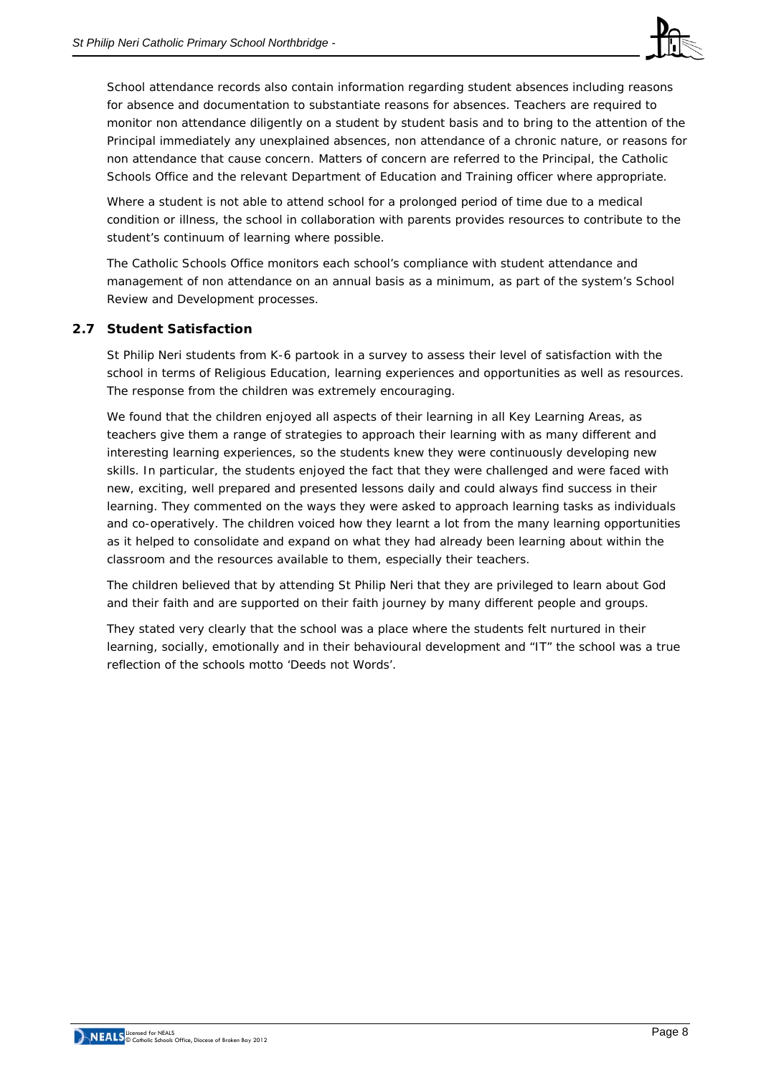

School attendance records also contain information regarding student absences including reasons for absence and documentation to substantiate reasons for absences. Teachers are required to monitor non attendance diligently on a student by student basis and to bring to the attention of the Principal immediately any unexplained absences, non attendance of a chronic nature, or reasons for non attendance that cause concern. Matters of concern are referred to the Principal, the Catholic Schools Office and the relevant Department of Education and Training officer where appropriate.

Where a student is not able to attend school for a prolonged period of time due to a medical condition or illness, the school in collaboration with parents provides resources to contribute to the student's continuum of learning where possible.

The Catholic Schools Office monitors each school's compliance with student attendance and management of non attendance on an annual basis as a minimum, as part of the system's School Review and Development processes.

# **2.7 Student Satisfaction**

St Philip Neri students from K-6 partook in a survey to assess their level of satisfaction with the school in terms of Religious Education, learning experiences and opportunities as well as resources. The response from the children was extremely encouraging.

We found that the children enjoyed all aspects of their learning in all Key Learning Areas, as teachers give them a range of strategies to approach their learning with as many different and interesting learning experiences, so the students knew they were continuously developing new skills. In particular, the students enjoyed the fact that they were challenged and were faced with new, exciting, well prepared and presented lessons daily and could always find success in their learning. They commented on the ways they were asked to approach learning tasks as individuals and co-operatively. The children voiced how they learnt a lot from the many learning opportunities as it helped to consolidate and expand on what they had already been learning about within the classroom and the resources available to them, especially their teachers.

The children believed that by attending St Philip Neri that they are privileged to learn about God and their faith and are supported on their faith journey by many different people and groups.

They stated very clearly that the school was a place where the students felt nurtured in their learning, socially, emotionally and in their behavioural development and "IT" the school was a true reflection of the schools motto 'Deeds not Words'.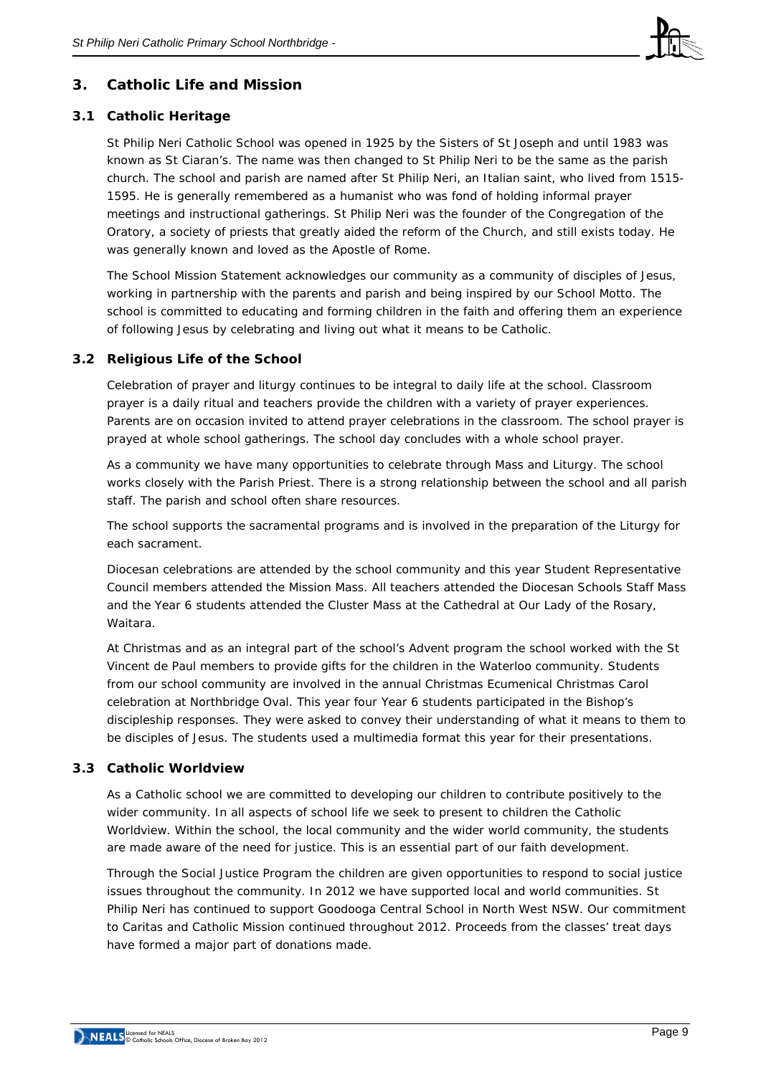

# **3. Catholic Life and Mission**

# **3.1 Catholic Heritage**

St Philip Neri Catholic School was opened in 1925 by the Sisters of St Joseph and until 1983 was known as St Ciaran's. The name was then changed to St Philip Neri to be the same as the parish church. The school and parish are named after St Philip Neri, an Italian saint, who lived from 1515- 1595. He is generally remembered as a humanist who was fond of holding informal prayer meetings and instructional gatherings. St Philip Neri was the founder of the Congregation of the Oratory, a society of priests that greatly aided the reform of the Church, and still exists today. He was generally known and loved as the Apostle of Rome.

The School Mission Statement acknowledges our community as a community of disciples of Jesus, working in partnership with the parents and parish and being inspired by our School Motto. The school is committed to educating and forming children in the faith and offering them an experience of following Jesus by celebrating and living out what it means to be Catholic.

## **3.2 Religious Life of the School**

Celebration of prayer and liturgy continues to be integral to daily life at the school. Classroom prayer is a daily ritual and teachers provide the children with a variety of prayer experiences. Parents are on occasion invited to attend prayer celebrations in the classroom. The school prayer is prayed at whole school gatherings. The school day concludes with a whole school prayer.

As a community we have many opportunities to celebrate through Mass and Liturgy. The school works closely with the Parish Priest. There is a strong relationship between the school and all parish staff. The parish and school often share resources.

The school supports the sacramental programs and is involved in the preparation of the Liturgy for each sacrament.

Diocesan celebrations are attended by the school community and this year Student Representative Council members attended the Mission Mass. All teachers attended the Diocesan Schools Staff Mass and the Year 6 students attended the Cluster Mass at the Cathedral at Our Lady of the Rosary, Waitara.

At Christmas and as an integral part of the school's Advent program the school worked with the St Vincent de Paul members to provide gifts for the children in the Waterloo community. Students from our school community are involved in the annual Christmas Ecumenical Christmas Carol celebration at Northbridge Oval. This year four Year 6 students participated in the Bishop's discipleship responses. They were asked to convey their understanding of what it means to them to be disciples of Jesus. The students used a multimedia format this year for their presentations.

## **3.3 Catholic Worldview**

As a Catholic school we are committed to developing our children to contribute positively to the wider community. In all aspects of school life we seek to present to children the Catholic Worldview. Within the school, the local community and the wider world community, the students are made aware of the need for justice. This is an essential part of our faith development.

Through the Social Justice Program the children are given opportunities to respond to social justice issues throughout the community. In 2012 we have supported local and world communities. St Philip Neri has continued to support Goodooga Central School in North West NSW. Our commitment to Caritas and Catholic Mission continued throughout 2012. Proceeds from the classes' treat days have formed a major part of donations made.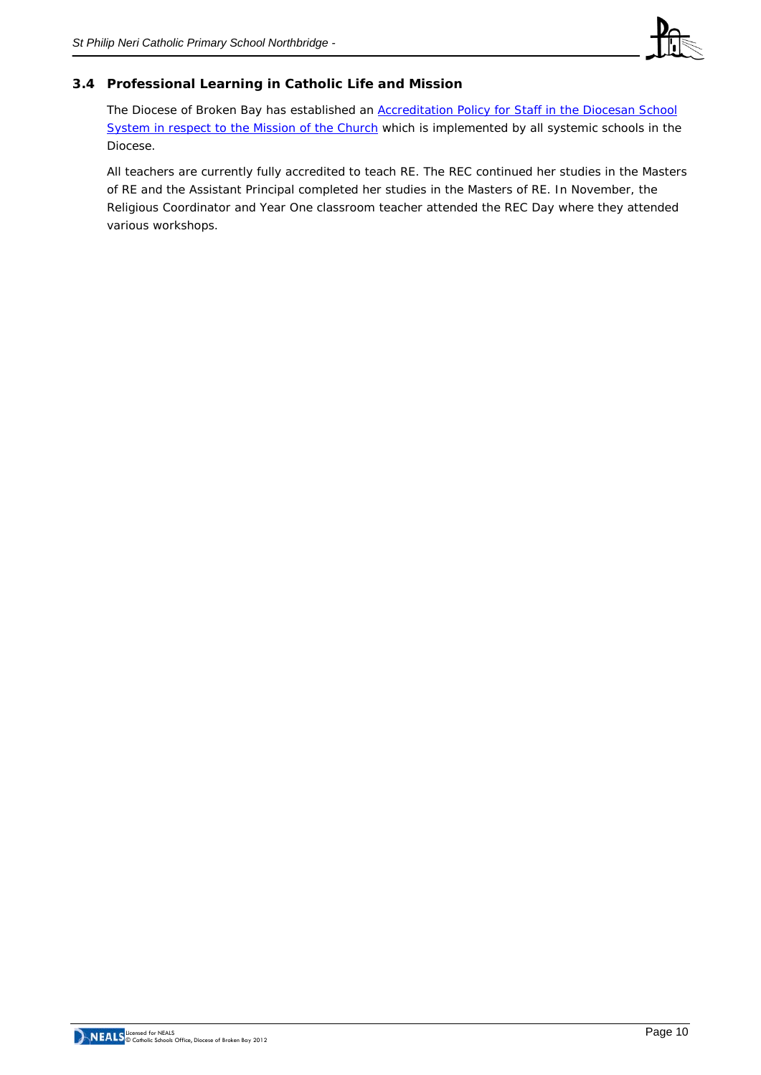

# **3.4 Professional Learning in Catholic Life and Mission**

The Diocese of Broken Bay has established an **Accreditation Policy for Staff in the Diocesan School** [System in respect to the Mission of the Church](http://www.csodbb.catholic.edu.au/resources/pdfs/Policy-Rqs_Accrd_Tchrs_RE.pdf) which is implemented by all systemic schools in the Diocese.

All teachers are currently fully accredited to teach RE. The REC continued her studies in the Masters of RE and the Assistant Principal completed her studies in the Masters of RE. In November, the Religious Coordinator and Year One classroom teacher attended the REC Day where they attended various workshops.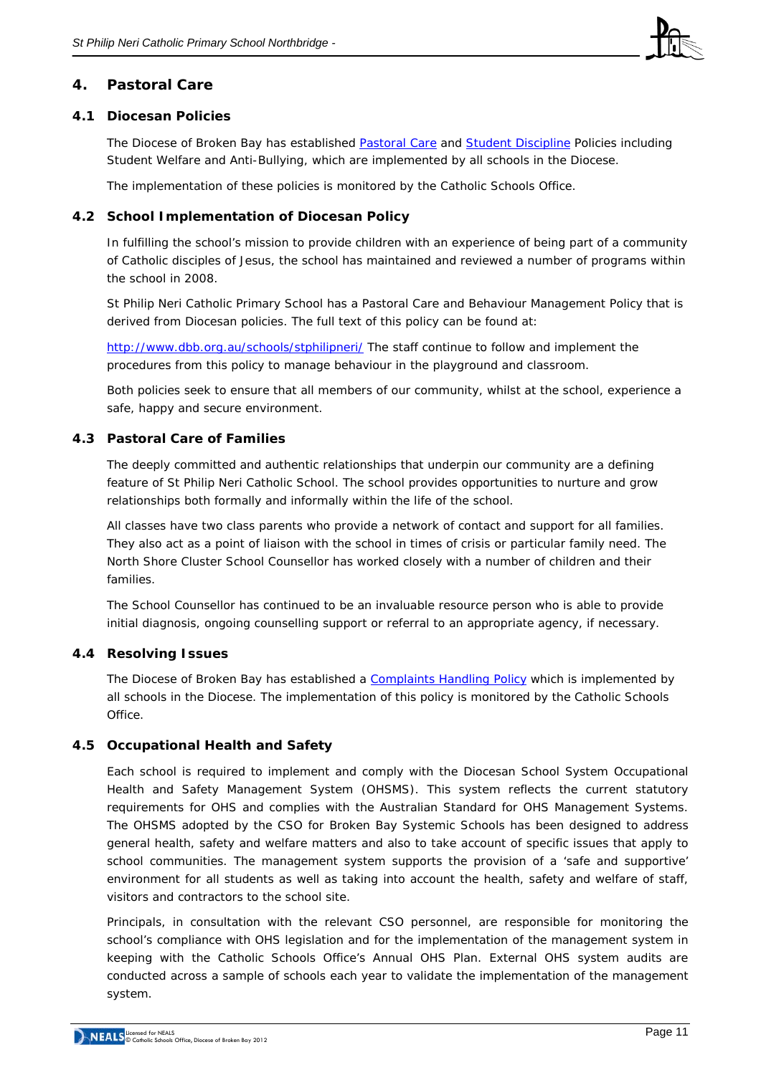

# **4. Pastoral Care**

## **4.1 Diocesan Policies**

The Diocese of Broken Bay has established [Pastoral Care](http://www.csodbb.catholic.edu.au/resources/pdfs/Pastoral%20Care%20Policy.pdf) and [Student Discipline](http://www.csodbb.catholic.edu.au/resources/pdfs/Behaviour%20Management%20and%20Student%20Discipline%20Policy.pdf) Policies including Student Welfare and Anti-Bullying, which are implemented by all schools in the Diocese.

The implementation of these policies is monitored by the Catholic Schools Office.

## **4.2 School Implementation of Diocesan Policy**

In fulfilling the school's mission to provide children with an experience of being part of a community of Catholic disciples of Jesus, the school has maintained and reviewed a number of programs within the school in 2008.

St Philip Neri Catholic Primary School has a Pastoral Care and Behaviour Management Policy that is derived from Diocesan policies. The full text of this policy can be found at:

<http://www.dbb.org.au/schools/stphilipneri/> The staff continue to follow and implement the procedures from this policy to manage behaviour in the playground and classroom.

Both policies seek to ensure that all members of our community, whilst at the school, experience a safe, happy and secure environment.

## **4.3 Pastoral Care of Families**

The deeply committed and authentic relationships that underpin our community are a defining feature of St Philip Neri Catholic School. The school provides opportunities to nurture and grow relationships both formally and informally within the life of the school.

All classes have two class parents who provide a network of contact and support for all families. They also act as a point of liaison with the school in times of crisis or particular family need. The North Shore Cluster School Counsellor has worked closely with a number of children and their families.

The School Counsellor has continued to be an invaluable resource person who is able to provide initial diagnosis, ongoing counselling support or referral to an appropriate agency, if necessary.

# **4.4 Resolving Issues**

The Diocese of Broken Bay has established a [Complaints Handling Policy](http://www.cso.brokenbay.catholic.edu.au/resources/pdfs/Policy-Complaints_Handling.pdf) which is implemented by all schools in the Diocese. The implementation of this policy is monitored by the Catholic Schools Office.

## **4.5 Occupational Health and Safety**

Each school is required to implement and comply with the Diocesan School System Occupational Health and Safety Management System (OHSMS). This system reflects the current statutory requirements for OHS and complies with the Australian Standard for OHS Management Systems. The OHSMS adopted by the CSO for Broken Bay Systemic Schools has been designed to address general health, safety and welfare matters and also to take account of specific issues that apply to school communities. The management system supports the provision of a 'safe and supportive' environment for all students as well as taking into account the health, safety and welfare of staff, visitors and contractors to the school site.

Principals, in consultation with the relevant CSO personnel, are responsible for monitoring the school's compliance with OHS legislation and for the implementation of the management system in keeping with the Catholic Schools Office's Annual OHS Plan. External OHS system audits are conducted across a sample of schools each year to validate the implementation of the management system.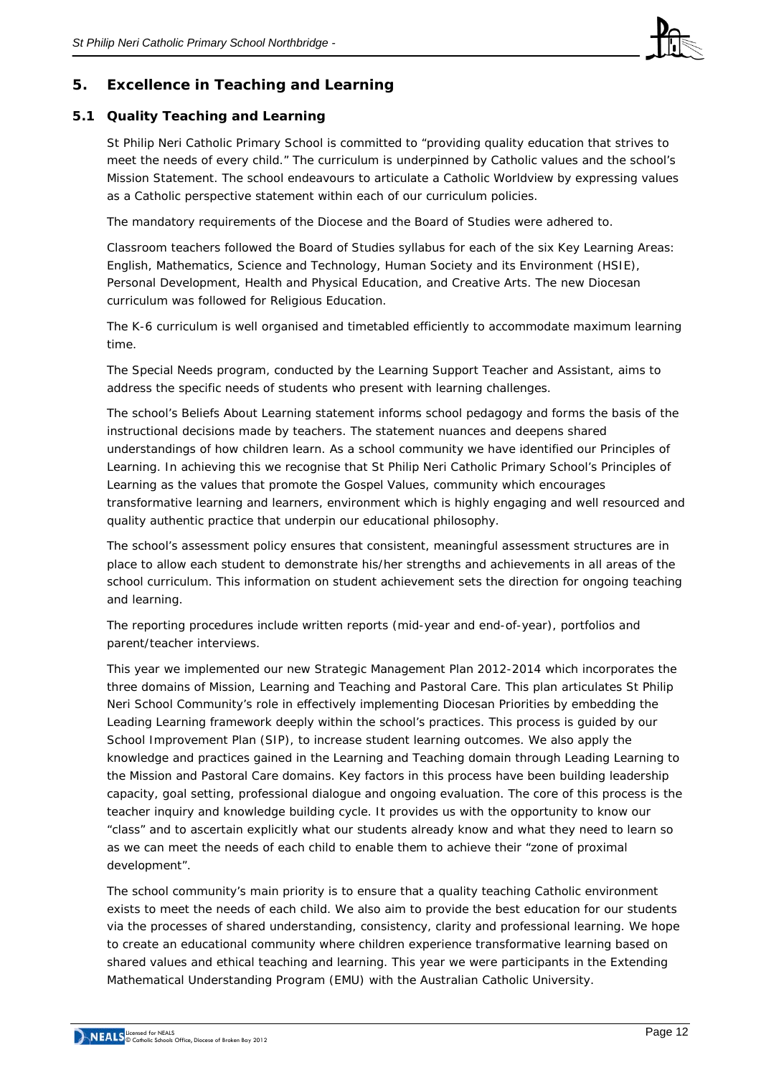

# **5. Excellence in Teaching and Learning**

# **5.1 Quality Teaching and Learning**

St Philip Neri Catholic Primary School is committed to "providing quality education that strives to meet the needs of every child." The curriculum is underpinned by Catholic values and the school's Mission Statement. The school endeavours to articulate a Catholic Worldview by expressing values as a Catholic perspective statement within each of our curriculum policies.

The mandatory requirements of the Diocese and the Board of Studies were adhered to.

Classroom teachers followed the Board of Studies syllabus for each of the six Key Learning Areas: English, Mathematics, Science and Technology, Human Society and its Environment (HSIE), Personal Development, Health and Physical Education, and Creative Arts. The new Diocesan curriculum was followed for Religious Education.

The K-6 curriculum is well organised and timetabled efficiently to accommodate maximum learning time.

The Special Needs program, conducted by the Learning Support Teacher and Assistant, aims to address the specific needs of students who present with learning challenges.

The school's Beliefs About Learning statement informs school pedagogy and forms the basis of the instructional decisions made by teachers. The statement nuances and deepens shared understandings of how children learn. As a school community we have identified our Principles of Learning. In achieving this we recognise that St Philip Neri Catholic Primary School's Principles of Learning as the *values that promote the Gospel Values, community which encourages transformative learning and learners, environment which is highly engaging and well resourced and quality authentic practice* that underpin our educational philosophy.

The school's assessment policy ensures that consistent, meaningful assessment structures are in place to allow each student to demonstrate his/her strengths and achievements in all areas of the school curriculum. This information on student achievement sets the direction for ongoing teaching and learning.

The reporting procedures include written reports (mid-year and end-of-year), portfolios and parent/teacher interviews.

This year we implemented our new Strategic Management Plan 2012-2014 which incorporates the three domains of Mission, Learning and Teaching and Pastoral Care. This plan articulates St Philip Neri School Community's role in effectively implementing Diocesan Priorities by embedding the Leading Learning framework deeply within the school's practices. This process is guided by our School Improvement Plan (SIP), to increase student learning outcomes. We also apply the knowledge and practices gained in the Learning and Teaching domain through Leading Learning to the Mission and Pastoral Care domains. Key factors in this process have been building leadership capacity, goal setting, professional dialogue and ongoing evaluation. The core of this process is the teacher inquiry and knowledge building cycle. It provides us with the opportunity to know our "class" and to ascertain explicitly what our students already know and what they need to learn so as we can meet the needs of each child to enable them to achieve their "zone of proximal development".

The school community's main priority is to ensure that a quality teaching Catholic environment exists to meet the needs of each child. We also aim to provide the best education for our students via the processes of shared understanding, consistency, clarity and professional learning. We hope to create an educational community where children experience transformative learning based on shared values and ethical teaching and learning. This year we were participants in the Extending Mathematical Understanding Program (EMU) with the Australian Catholic University.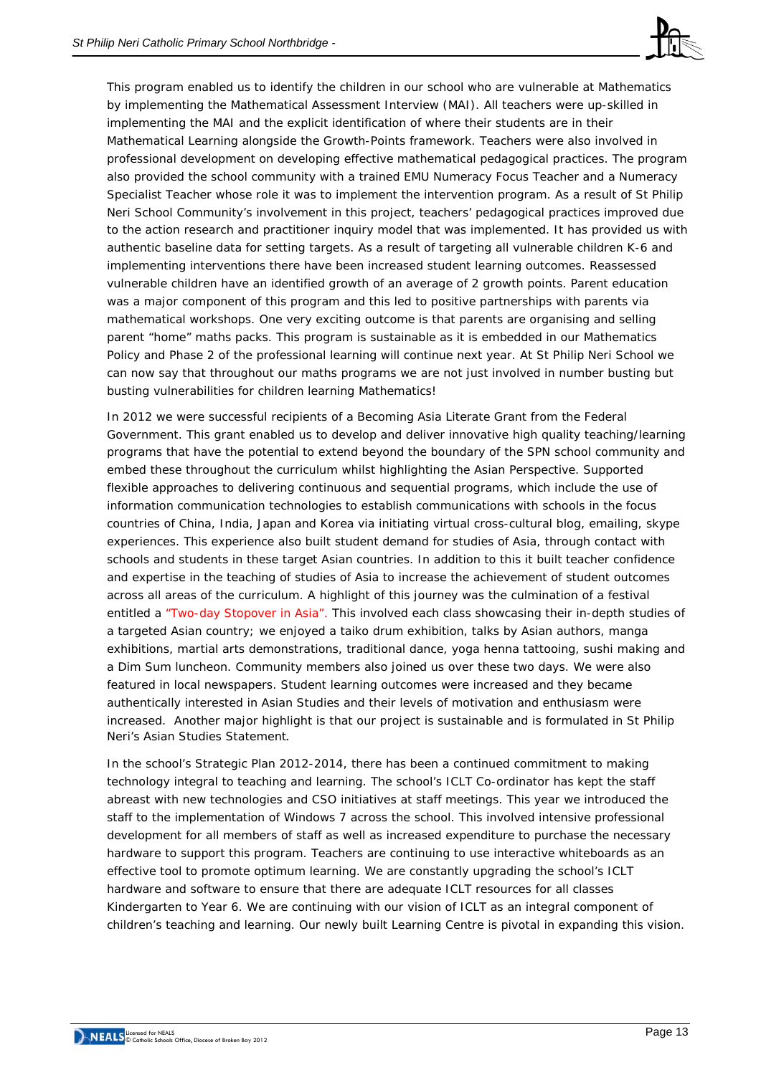

This program enabled us to identify the children in our school who are vulnerable at Mathematics by implementing the Mathematical Assessment Interview (MAI). All teachers were up-skilled in implementing the MAI and the explicit identification of where their students are in their Mathematical Learning alongside the Growth-Points framework. Teachers were also involved in professional development on developing effective mathematical pedagogical practices. The program also provided the school community with a trained EMU Numeracy Focus Teacher and a Numeracy Specialist Teacher whose role it was to implement the intervention program. As a result of St Philip Neri School Community's involvement in this project, teachers' pedagogical practices improved due to the action research and practitioner inquiry model that was implemented. It has provided us with authentic baseline data for setting targets. As a result of targeting all vulnerable children K-6 and implementing interventions there have been increased student learning outcomes. Reassessed vulnerable children have an identified growth of an average of 2 growth points. Parent education was a major component of this program and this led to positive partnerships with parents via mathematical workshops. One very exciting outcome is that parents are organising and selling parent "home" maths packs. This program is sustainable as it is embedded in our Mathematics Policy and Phase 2 of the professional learning will continue next year. At St Philip Neri School we can now say that throughout our maths programs we are not just involved in number busting but busting vulnerabilities for children learning Mathematics!

In 2012 we were successful recipients of a Becoming Asia Literate Grant from the Federal Government. This grant enabled us to develop and deliver innovative high quality teaching/learning programs that have the potential to extend beyond the boundary of the SPN school community and embed these throughout the curriculum whilst highlighting the Asian Perspective. Supported flexible approaches to delivering continuous and sequential programs, which include the use of information communication technologies to establish communications with schools in the focus countries of China, India, Japan and Korea via initiating virtual cross-cultural blog, emailing, skype experiences*.* This experience also built student demand for studies of Asia, through contact with schools and students in these target Asian countries. In addition to this it built teacher confidence and expertise in the teaching of studies of Asia to increase the achievement of student outcomes across all areas of the curriculum. A highlight of this journey was the culmination of a festival entitled a "Two-day Stopover in Asia". This involved each class showcasing their in-depth studies of a targeted Asian country; we enjoyed a taiko drum exhibition, talks by Asian authors, manga exhibitions, martial arts demonstrations, traditional dance, yoga henna tattooing, sushi making and a Dim Sum luncheon. Community members also joined us over these two days. We were also featured in local newspapers. Student learning outcomes were increased and they became authentically interested in Asian Studies and their levels of motivation and enthusiasm were increased. Another major highlight is that our project is sustainable and is formulated in St Philip Neri's Asian Studies Statement*.*

In the school's Strategic Plan 2012-2014, there has been a continued commitment to making technology integral to teaching and learning. The school's ICLT Co-ordinator has kept the staff abreast with new technologies and CSO initiatives at staff meetings. This year we introduced the staff to the implementation of Windows 7 across the school. This involved intensive professional development for all members of staff as well as increased expenditure to purchase the necessary hardware to support this program. Teachers are continuing to use interactive whiteboards as an effective tool to promote optimum learning. We are constantly upgrading the school's ICLT hardware and software to ensure that there are adequate ICLT resources for all classes Kindergarten to Year 6. We are continuing with our vision of ICLT as an integral component of children's teaching and learning. Our newly built Learning Centre is pivotal in expanding this vision.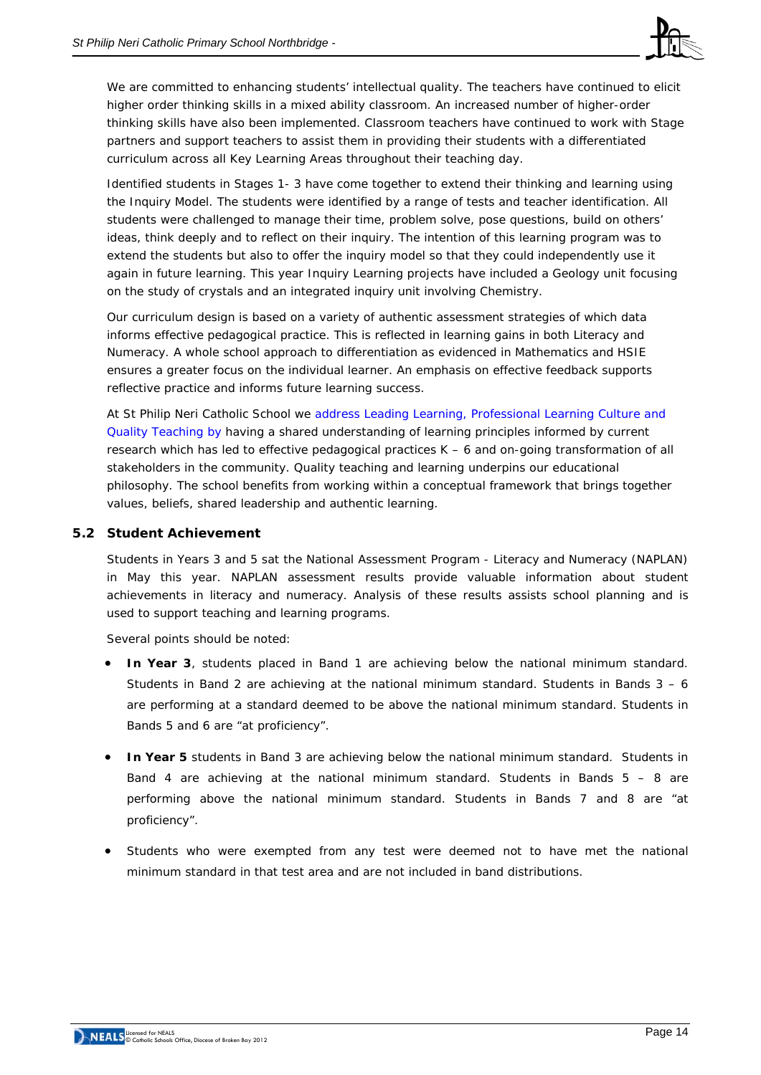

We are committed to enhancing students' intellectual quality. The teachers have continued to elicit higher order thinking skills in a mixed ability classroom. An increased number of higher-order thinking skills have also been implemented. Classroom teachers have continued to work with Stage partners and support teachers to assist them in providing their students with a differentiated curriculum across all Key Learning Areas throughout their teaching day.

Identified students in Stages 1- 3 have come together to extend their thinking and learning using the Inquiry Model. The students were identified by a range of tests and teacher identification. All students were challenged to manage their time, problem solve, pose questions, build on others' ideas, think deeply and to reflect on their inquiry. The intention of this learning program was to extend the students but also to offer the inquiry model so that they could independently use it again in future learning. This year Inquiry Learning projects have included a Geology unit focusing on the study of crystals and an integrated inquiry unit involving Chemistry.

Our curriculum design is based on a variety of authentic assessment strategies of which data informs effective pedagogical practice. This is reflected in learning gains in both Literacy and Numeracy. A whole school approach to differentiation as evidenced in Mathematics and HSIE ensures a greater focus on the individual learner. An emphasis on effective feedback supports reflective practice and informs future learning success.

At St Philip Neri Catholic School we address Leading Learning, Professional Learning Culture and Quality Teaching by having a shared understanding of learning principles informed by current research which has led to effective pedagogical practices K – 6 and on-going transformation of all stakeholders in the community. Quality teaching and learning underpins our educational philosophy. The school benefits from working within a conceptual framework that brings together values, beliefs, shared leadership and authentic learning.

## **5.2 Student Achievement**

Students in Years 3 and 5 sat the *National Assessment Program - Literacy and Numeracy* (NAPLAN) in May this year. NAPLAN assessment results provide valuable information about student achievements in literacy and numeracy. Analysis of these results assists school planning and is used to support teaching and learning programs.

Several points should be noted:

- **In Year 3**, students placed in Band 1 are achieving below the national minimum standard. Students in Band 2 are achieving at the national minimum standard. Students in Bands  $3 - 6$ are performing at a standard deemed to be above the national minimum standard. Students in Bands 5 and 6 are "at proficiency".
- **In Year 5** students in Band 3 are achieving below the national minimum standard. Students in Band 4 are achieving at the national minimum standard. Students in Bands  $5 - 8$  are performing above the national minimum standard. Students in Bands 7 and 8 are "at proficiency".
- Students who were exempted from any test were deemed not to have met the national minimum standard in that test area and are not included in band distributions.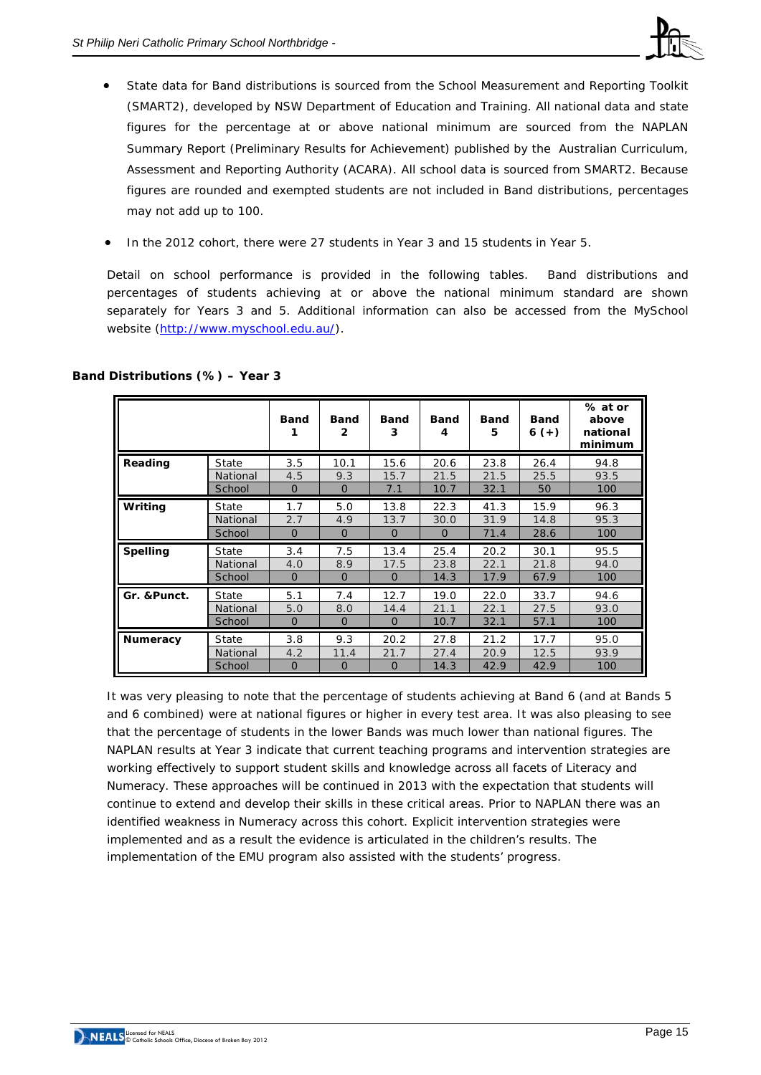

- State data for Band distributions is sourced from the School Measurement and Reporting Toolkit (SMART2), developed by NSW Department of Education and Training. All national data and state figures for the percentage at or above national minimum are sourced from the NAPLAN Summary Report (Preliminary Results for Achievement) published by the Australian Curriculum, Assessment and Reporting Authority (ACARA). All school data is sourced from SMART2. Because figures are rounded and exempted students are not included in Band distributions, percentages may not add up to 100.
- In the 2012 cohort, there were 27 students in Year 3 and 15 students in Year 5.

Detail on school performance is provided in the following tables. Band distributions and percentages of students achieving at or above the national minimum standard are shown separately for Years 3 and 5. Additional information can also be accessed from the *MySchool* website [\(http://www.myschool.edu.au/\)](http://www.myschool.edu.au/).

|                 |          | <b>Band</b> | <b>Band</b><br>$\mathbf{2}$ | <b>Band</b><br>3 | <b>Band</b><br>4 | <b>Band</b><br>5 | <b>Band</b><br>$6 (+)$ | % at or<br>above<br>national<br>minimum |
|-----------------|----------|-------------|-----------------------------|------------------|------------------|------------------|------------------------|-----------------------------------------|
| Reading         | State    | 3.5         | 10.1                        | 15.6             | 20.6             | 23.8             | 26.4                   | 94.8                                    |
|                 | National | 4.5         | 9.3                         | 15.7             | 21.5             | 21.5             | 25.5                   | 93.5                                    |
|                 | School   | $\Omega$    | $\Omega$                    | 7.1              | 10.7             | 32.1             | 50                     | 100                                     |
| Writing         | State    | 1.7         | 5.0                         | 13.8             | 22.3             | 41.3             | 15.9                   | 96.3                                    |
|                 | National | 2.7         | 4.9                         | 13.7             | 30.0             | 31.9             | 14.8                   | 95.3                                    |
|                 | School   | $\Omega$    | $\Omega$                    | $\Omega$         | $\Omega$         | 71.4             | 28.6                   | 100                                     |
| <b>Spelling</b> | State    | 3.4         | 7.5                         | 13.4             | 25.4             | 20.2             | 30.1                   | 95.5                                    |
|                 | National | 4.0         | 8.9                         | 17.5             | 23.8             | 22.1             | 21.8                   | 94.0                                    |
|                 | School   | $\Omega$    | $\overline{0}$              | $\Omega$         | 14.3             | 17.9             | 67.9                   | 100                                     |
| Gr. & Punct.    | State    | 5.1         | 7.4                         | 12.7             | 19.0             | 22.0             | 33.7                   | 94.6                                    |
|                 | National | 5.0         | 8.0                         | 14.4             | 21.1             | 22.1             | 27.5                   | 93.0                                    |
|                 | School   | $\Omega$    | $\Omega$                    | $\Omega$         | 10.7             | 32.1             | 57.1                   | 100                                     |
| <b>Numeracy</b> | State    | 3.8         | 9.3                         | 20.2             | 27.8             | 21.2             | 17.7                   | 95.0                                    |
|                 | National | 4.2         | 11.4                        | 21.7             | 27.4             | 20.9             | 12.5                   | 93.9                                    |
|                 | School   | $\Omega$    | $\Omega$                    | $\Omega$         | 14.3             | 42.9             | 42.9                   | 100                                     |

# **Band Distributions (%) – Year 3**

It was very pleasing to note that the percentage of students achieving at Band 6 (and at Bands 5 and 6 combined) were at national figures or higher in every test area. It was also pleasing to see that the percentage of students in the lower Bands was much lower than national figures. The NAPLAN results at Year 3 indicate that current teaching programs and intervention strategies are working effectively to support student skills and knowledge across all facets of Literacy and Numeracy. These approaches will be continued in 2013 with the expectation that students will continue to extend and develop their skills in these critical areas. Prior to NAPLAN there was an identified weakness in Numeracy across this cohort. Explicit intervention strategies were implemented and as a result the evidence is articulated in the children's results. The implementation of the EMU program also assisted with the students' progress.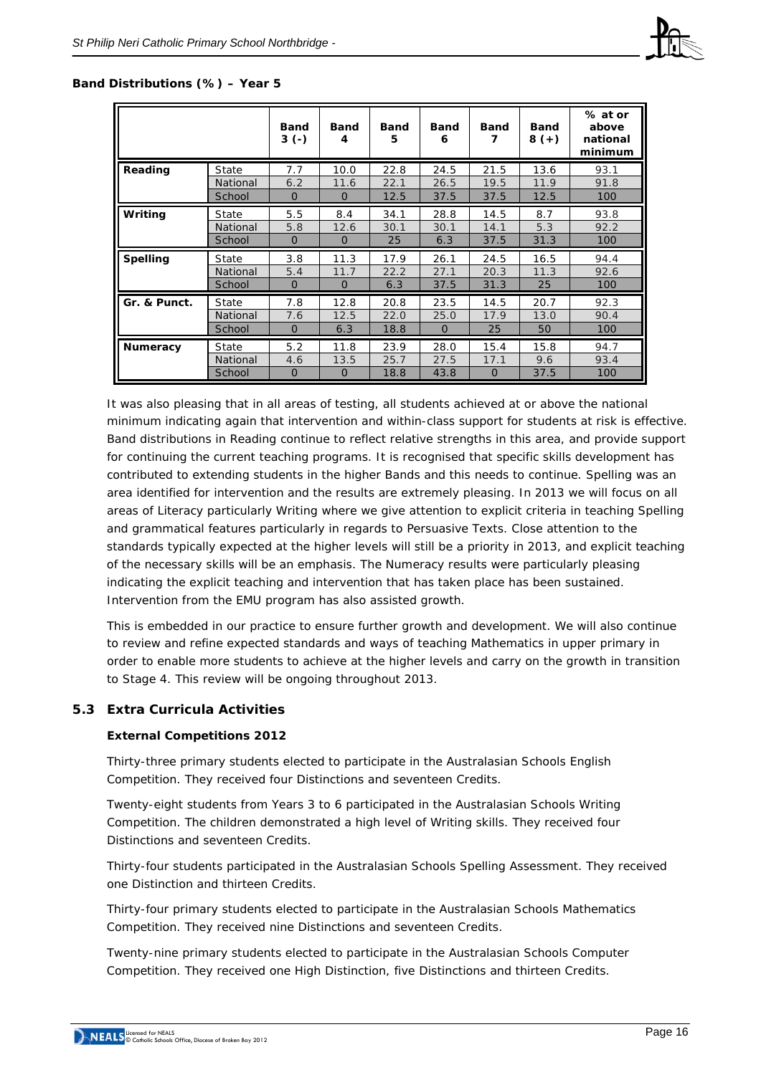

#### **Band Distributions (%) – Year 5**

|                 |          | <b>Band</b><br>$3(-)$ | <b>Band</b><br>4 | <b>Band</b><br>5 | <b>Band</b><br>6 | <b>Band</b><br>7 | <b>Band</b><br>$8 (+)$ | % at or<br>above<br>national<br>minimum |
|-----------------|----------|-----------------------|------------------|------------------|------------------|------------------|------------------------|-----------------------------------------|
| Reading         | State    | 7.7                   | 10.0             | 22.8             | 24.5             | 21.5             | 13.6                   | 93.1                                    |
|                 | National | 6.2                   | 11.6             | 22.1             | 26.5             | 19.5             | 11.9                   | 91.8                                    |
|                 | School   | $\Omega$              | $\overline{0}$   | 12.5             | 37.5             | 37.5             | 12.5                   | 100                                     |
| Writing         | State    | 5.5                   | 8.4              | 34.1             | 28.8             | 14.5             | 8.7                    | 93.8                                    |
|                 | National | 5.8                   | 12.6             | 30.1             | 30.1             | 14.1             | 5.3                    | 92.2                                    |
|                 | School   | $\mathbf 0$           | 0                | 25               | 6.3              | 37.5             | 31.3                   | 100                                     |
| <b>Spelling</b> | State    | 3.8                   | 11.3             | 17.9             | 26.1             | 24.5             | 16.5                   | 94.4                                    |
|                 | National | 5.4                   | 11.7             | 22.2             | 27.1             | 20.3             | 11.3                   | 92.6                                    |
|                 | School   | $\Omega$              | $\Omega$         | 6.3              | 37.5             | 31.3             | 25                     | 100                                     |
| Gr. & Punct.    | State    | 7.8                   | 12.8             | 20.8             | 23.5             | 14.5             | 20.7                   | 92.3                                    |
|                 | National | 7.6                   | 12.5             | 22.0             | 25.0             | 17.9             | 13.0                   | 90.4                                    |
|                 | School   | $\Omega$              | 6.3              | 18.8             | $\overline{0}$   | 25               | 50                     | 100                                     |
| <b>Numeracy</b> | State    | 5.2                   | 11.8             | 23.9             | 28.0             | 15.4             | 15.8                   | 94.7                                    |
|                 | National | 4.6                   | 13.5             | 25.7             | 27.5             | 17.1             | 9.6                    | 93.4                                    |
|                 | School   | $\Omega$              | O                | 18.8             | 43.8             | $\Omega$         | 37.5                   | 100                                     |

It was also pleasing that in all areas of testing, all students achieved at or above the national minimum indicating again that intervention and within-class support for students at risk is effective. Band distributions in Reading continue to reflect relative strengths in this area, and provide support for continuing the current teaching programs. It is recognised that specific skills development has contributed to extending students in the higher Bands and this needs to continue. Spelling was an area identified for intervention and the results are extremely pleasing. In 2013 we will focus on all areas of Literacy particularly Writing where we give attention to explicit criteria in teaching Spelling and grammatical features particularly in regards to Persuasive Texts. Close attention to the standards typically expected at the higher levels will still be a priority in 2013, and explicit teaching of the necessary skills will be an emphasis. The Numeracy results were particularly pleasing indicating the explicit teaching and intervention that has taken place has been sustained. Intervention from the EMU program has also assisted growth.

This is embedded in our practice to ensure further growth and development. We will also continue to review and refine expected standards and ways of teaching Mathematics in upper primary in order to enable more students to achieve at the higher levels and carry on the growth in transition to Stage 4. This review will be ongoing throughout 2013.

## **5.3 Extra Curricula Activities**

## **External Competitions 2012**

Thirty-three primary students elected to participate in the Australasian Schools English Competition. They received four Distinctions and seventeen Credits.

Twenty-eight students from Years 3 to 6 participated in the Australasian Schools Writing Competition. The children demonstrated a high level of Writing skills. They received four Distinctions and seventeen Credits.

Thirty-four students participated in the Australasian Schools Spelling Assessment. They received one Distinction and thirteen Credits.

Thirty-four primary students elected to participate in the Australasian Schools Mathematics Competition. They received nine Distinctions and seventeen Credits.

Twenty-nine primary students elected to participate in the Australasian Schools Computer Competition. They received one High Distinction, five Distinctions and thirteen Credits.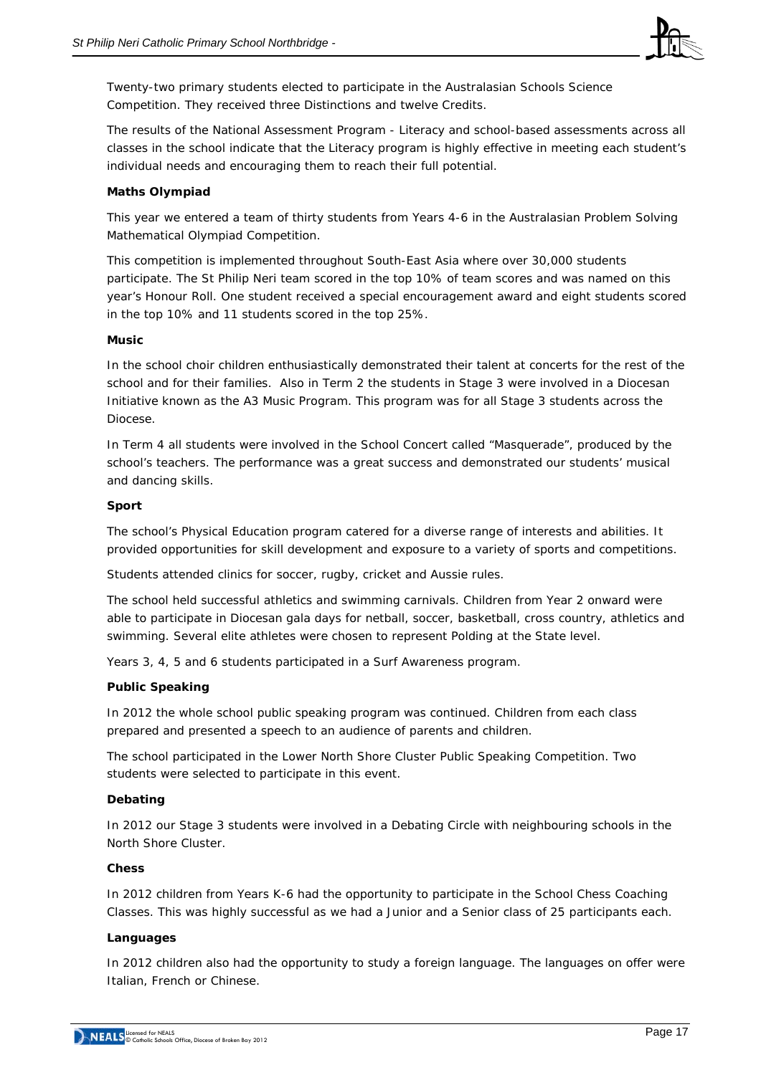

Twenty-two primary students elected to participate in the Australasian Schools Science Competition. They received three Distinctions and twelve Credits.

The results of the National Assessment Program - Literacy and school-based assessments across all classes in the school indicate that the Literacy program is highly effective in meeting each student's individual needs and encouraging them to reach their full potential.

## **Maths Olympiad**

This year we entered a team of thirty students from Years 4-6 in the Australasian Problem Solving Mathematical Olympiad Competition.

This competition is implemented throughout South-East Asia where over 30,000 students participate. The St Philip Neri team scored in the top 10% of team scores and was named on this year's Honour Roll. One student received a special encouragement award and eight students scored in the top 10% and 11 students scored in the top 25%.

## **Music**

In the school choir children enthusiastically demonstrated their talent at concerts for the rest of the school and for their families. Also in Term 2 the students in Stage 3 were involved in a Diocesan Initiative known as the A3 Music Program. This program was for all Stage 3 students across the Diocese.

In Term 4 all students were involved in the School Concert called "Masquerade", produced by the school's teachers. The performance was a great success and demonstrated our students' musical and dancing skills.

## **Sport**

The school's Physical Education program catered for a diverse range of interests and abilities. It provided opportunities for skill development and exposure to a variety of sports and competitions.

Students attended clinics for soccer, rugby, cricket and Aussie rules.

The school held successful athletics and swimming carnivals. Children from Year 2 onward were able to participate in Diocesan gala days for netball, soccer, basketball, cross country, athletics and swimming. Several elite athletes were chosen to represent Polding at the State level.

Years 3, 4, 5 and 6 students participated in a Surf Awareness program.

## **Public Speaking**

In 2012 the whole school public speaking program was continued. Children from each class prepared and presented a speech to an audience of parents and children.

The school participated in the Lower North Shore Cluster Public Speaking Competition. Two students were selected to participate in this event.

## **Debating**

In 2012 our Stage 3 students were involved in a Debating Circle with neighbouring schools in the North Shore Cluster.

## **Chess**

In 2012 children from Years K-6 had the opportunity to participate in the School Chess Coaching Classes. This was highly successful as we had a Junior and a Senior class of 25 participants each.

## **Languages**

In 2012 children also had the opportunity to study a foreign language. The languages on offer were Italian, French or Chinese.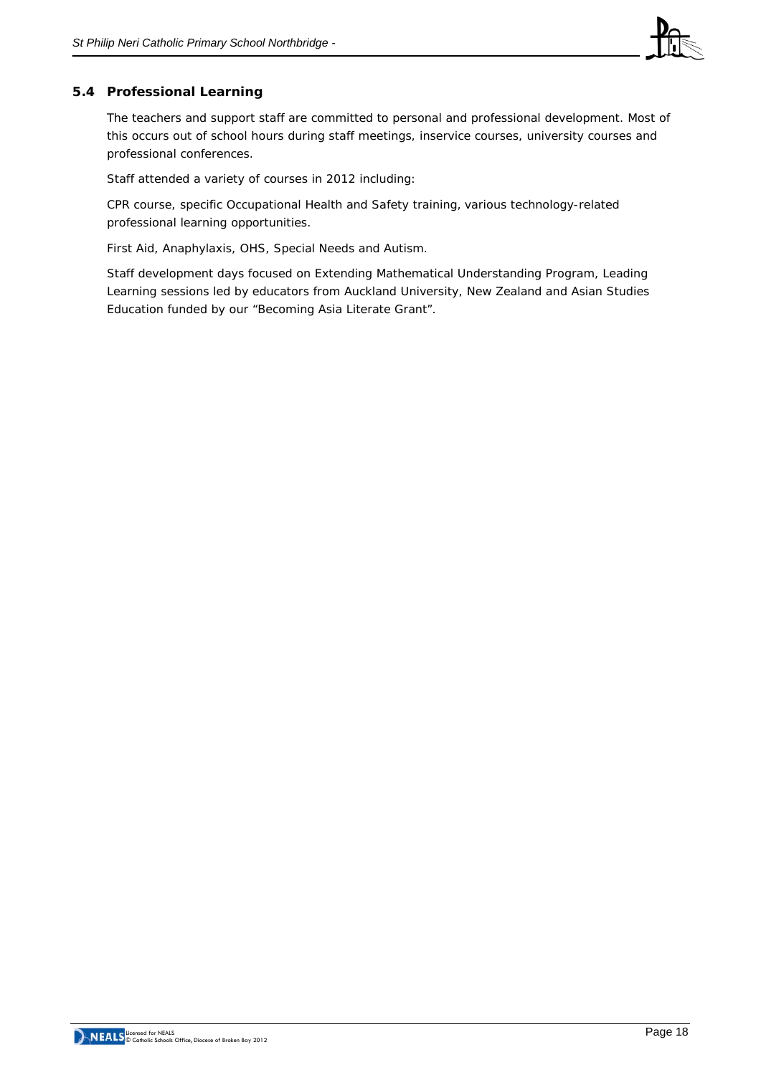

# **5.4 Professional Learning**

The teachers and support staff are committed to personal and professional development. Most of this occurs out of school hours during staff meetings, inservice courses, university courses and professional conferences.

Staff attended a variety of courses in 2012 including:

CPR course, specific Occupational Health and Safety training, various technology-related professional learning opportunities.

First Aid, Anaphylaxis, OHS, Special Needs and Autism.

Staff development days focused on Extending Mathematical Understanding Program, Leading Learning sessions led by educators from Auckland University, New Zealand and Asian Studies Education funded by our "Becoming Asia Literate Grant".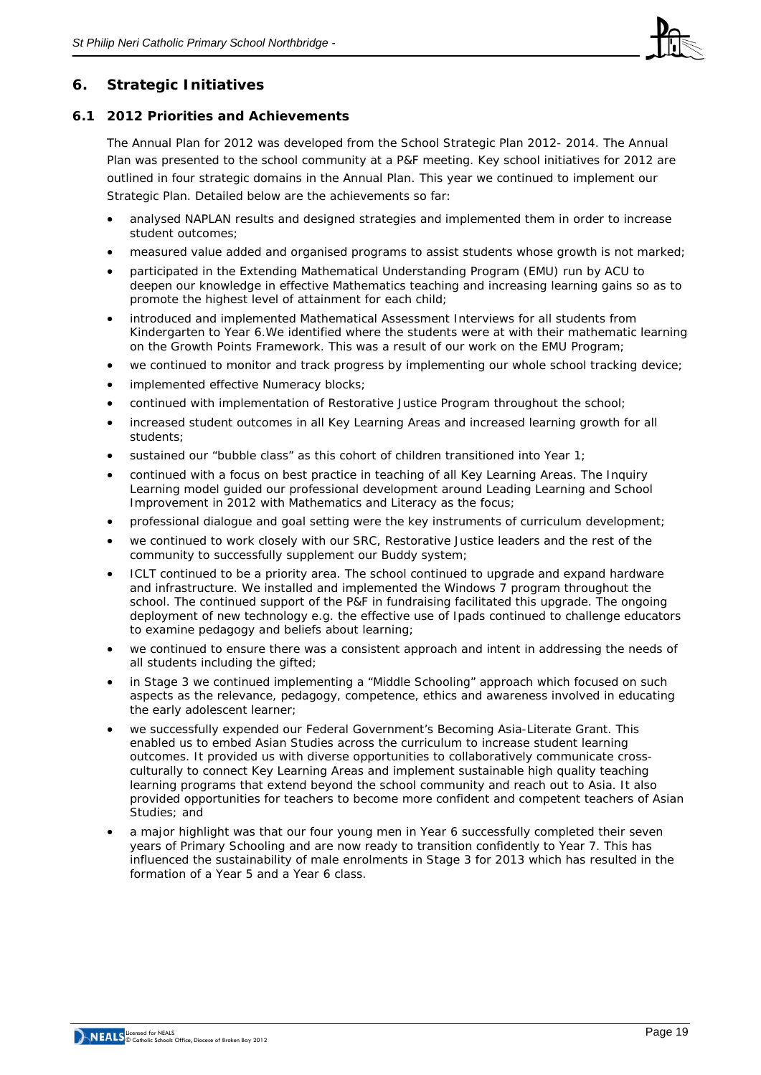

# **6. Strategic Initiatives**

## **6.1 2012 Priorities and Achievements**

The Annual Plan for 2012 was developed from the School Strategic Plan 2012- 2014. The Annual Plan was presented to the school community at a P&F meeting. Key school initiatives for 2012 are outlined in four strategic domains in the Annual Plan. This year we continued to implement our Strategic Plan. Detailed below are the achievements so far:

- analysed NAPLAN results and designed strategies and implemented them in order to increase student outcomes;
- measured value added and organised programs to assist students whose growth is not marked;
- participated in the Extending Mathematical Understanding Program (EMU) run by ACU to deepen our knowledge in effective Mathematics teaching and increasing learning gains so as to promote the highest level of attainment for each child;
- introduced and implemented Mathematical Assessment Interviews for all students from Kindergarten to Year 6.We identified where the students were at with their mathematic learning on the Growth Points Framework. This was a result of our work on the EMU Program;
- we continued to monitor and track progress by implementing our whole school tracking device;
- implemented effective Numeracy blocks;
- continued with implementation of Restorative Justice Program throughout the school;
- increased student outcomes in all Key Learning Areas and increased learning growth for all students;
- sustained our "bubble class" as this cohort of children transitioned into Year 1;
- continued with a focus on best practice in teaching of all Key Learning Areas. The Inquiry Learning model guided our professional development around Leading Learning and School Improvement in 2012 with Mathematics and Literacy as the focus;
- professional dialogue and goal setting were the key instruments of curriculum development;
- we continued to work closely with our SRC, Restorative Justice leaders and the rest of the community to successfully supplement our Buddy system;
- ICLT continued to be a priority area. The school continued to upgrade and expand hardware and infrastructure. We installed and implemented the Windows 7 program throughout the school. The continued support of the P&F in fundraising facilitated this upgrade. The ongoing deployment of new technology e.g. the effective use of Ipads continued to challenge educators to examine pedagogy and beliefs about learning;
- we continued to ensure there was a consistent approach and intent in addressing the needs of all students including the gifted;
- in Stage 3 we continued implementing a "Middle Schooling" approach which focused on such aspects as the relevance, pedagogy, competence, ethics and awareness involved in educating the early adolescent learner;
- we successfully expended our Federal Government's Becoming Asia-Literate Grant. This enabled us to embed Asian Studies across the curriculum to increase student learning outcomes. It provided us with diverse opportunities to collaboratively communicate crossculturally to connect Key Learning Areas and implement sustainable high quality teaching learning programs that extend beyond the school community and reach out to Asia. It also provided opportunities for teachers to become more confident and competent teachers of Asian Studies; and
- a major highlight was that our four young men in Year 6 successfully completed their seven years of Primary Schooling and are now ready to transition confidently to Year 7. This has influenced the sustainability of male enrolments in Stage 3 for 2013 which has resulted in the formation of a Year 5 and a Year 6 class.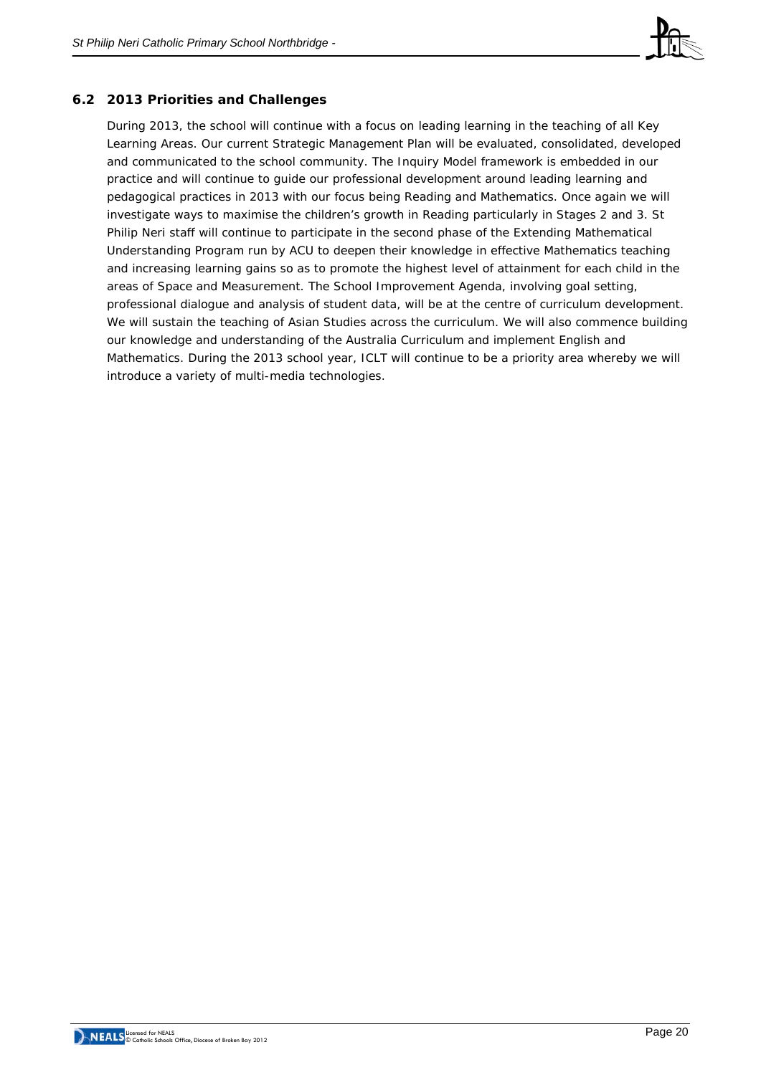

# **6.2 2013 Priorities and Challenges**

During 2013, the school will continue with a focus on leading learning in the teaching of all Key Learning Areas. Our current Strategic Management Plan will be evaluated, consolidated, developed and communicated to the school community. The Inquiry Model framework is embedded in our practice and will continue to guide our professional development around leading learning and pedagogical practices in 2013 with our focus being Reading and Mathematics. Once again we will investigate ways to maximise the children's growth in Reading particularly in Stages 2 and 3. St Philip Neri staff will continue to participate in the second phase of the Extending Mathematical Understanding Program run by ACU to deepen their knowledge in effective Mathematics teaching and increasing learning gains so as to promote the highest level of attainment for each child in the areas of Space and Measurement. The School Improvement Agenda, involving goal setting, professional dialogue and analysis of student data, will be at the centre of curriculum development. We will sustain the teaching of Asian Studies across the curriculum. We will also commence building our knowledge and understanding of the Australia Curriculum and implement English and Mathematics. During the 2013 school year, ICLT will continue to be a priority area whereby we will introduce a variety of multi-media technologies.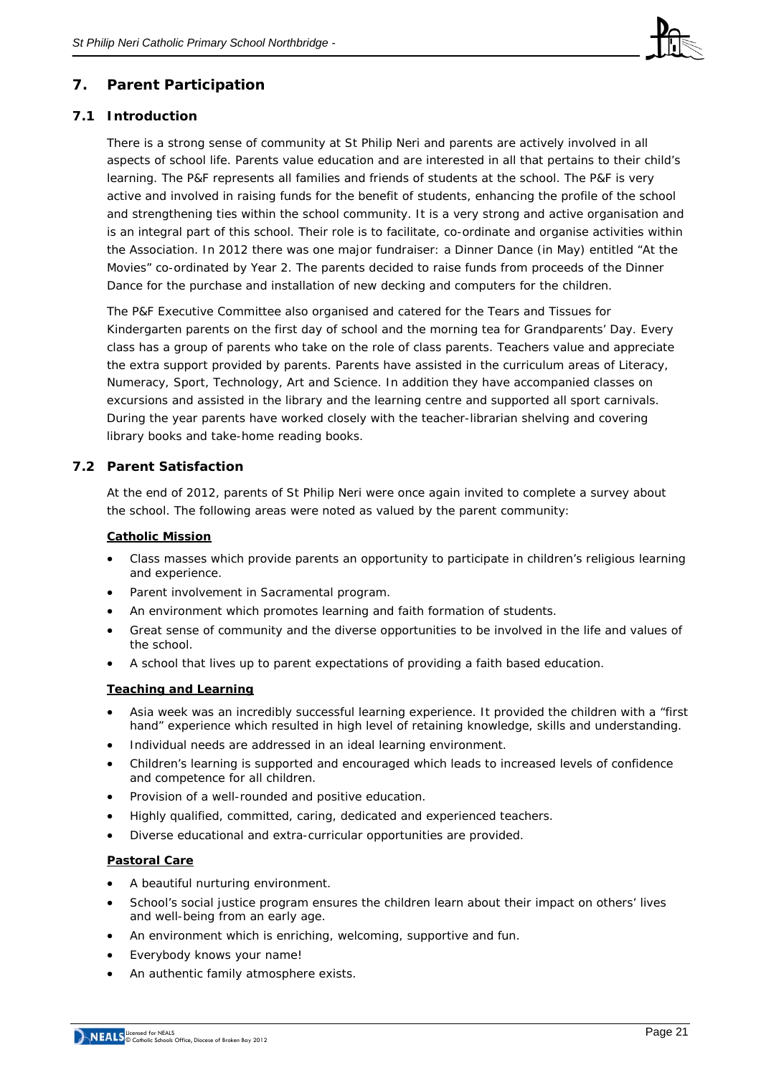

# **7. Parent Participation**

# **7.1 Introduction**

There is a strong sense of community at St Philip Neri and parents are actively involved in all aspects of school life. Parents value education and are interested in all that pertains to their child's learning. The P&F represents all families and friends of students at the school. The P&F is very active and involved in raising funds for the benefit of students, enhancing the profile of the school and strengthening ties within the school community. It is a very strong and active organisation and is an integral part of this school. Their role is to facilitate, co-ordinate and organise activities within the Association. In 2012 there was one major fundraiser: a Dinner Dance (in May) entitled "At the Movies" co-ordinated by Year 2. The parents decided to raise funds from proceeds of the Dinner Dance for the purchase and installation of new decking and computers for the children.

The P&F Executive Committee also organised and catered for the Tears and Tissues for Kindergarten parents on the first day of school and the morning tea for Grandparents' Day. Every class has a group of parents who take on the role of class parents. Teachers value and appreciate the extra support provided by parents. Parents have assisted in the curriculum areas of Literacy, Numeracy, Sport, Technology, Art and Science. In addition they have accompanied classes on excursions and assisted in the library and the learning centre and supported all sport carnivals. During the year parents have worked closely with the teacher-librarian shelving and covering library books and take-home reading books.

## **7.2 Parent Satisfaction**

At the end of 2012, parents of St Philip Neri were once again invited to complete a survey about the school. The following areas were noted as valued by the parent community:

#### **Catholic Mission**

- Class masses which provide parents an opportunity to participate in children's religious learning and experience.
- Parent involvement in Sacramental program.
- An environment which promotes learning and faith formation of students.
- Great sense of community and the diverse opportunities to be involved in the life and values of the school.
- A school that lives up to parent expectations of providing a faith based education.

## **Teaching and Learning**

- Asia week was an incredibly successful learning experience. It provided the children with a "first hand" experience which resulted in high level of retaining knowledge, skills and understanding.
- Individual needs are addressed in an ideal learning environment.
- Children's learning is supported and encouraged which leads to increased levels of confidence and competence for all children.
- Provision of a well-rounded and positive education.
- Highly qualified, committed, caring, dedicated and experienced teachers.
- Diverse educational and extra-curricular opportunities are provided.

## **Pastoral Care**

- A beautiful nurturing environment.
- School's social justice program ensures the children learn about their impact on others' lives and well-being from an early age.
- An environment which is enriching, welcoming, supportive and fun.
- Everybody knows your name!
- An authentic family atmosphere exists.